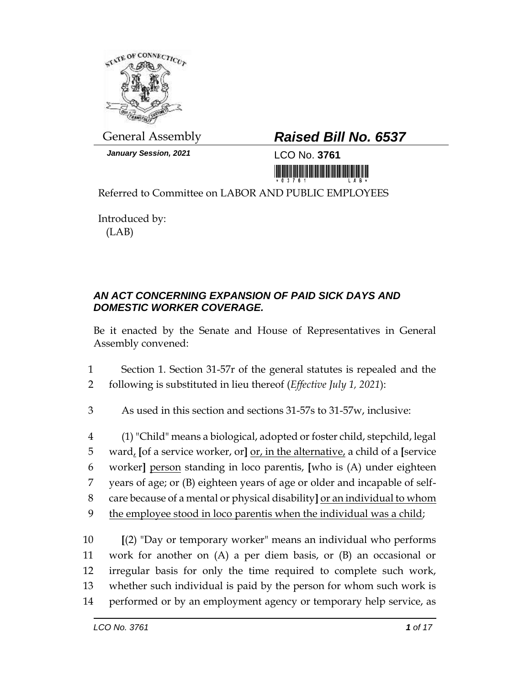

*January Session, 2021* LCO No. **3761**

# General Assembly *Raised Bill No. 6537*

<u> III marajev po svoje predsjednje u predsjednje u predsjednje u predsjednje u predsjednje u predsjednje u pre</u>

Referred to Committee on LABOR AND PUBLIC EMPLOYEES

Introduced by: (LAB)

### *AN ACT CONCERNING EXPANSION OF PAID SICK DAYS AND DOMESTIC WORKER COVERAGE.*

Be it enacted by the Senate and House of Representatives in General Assembly convened:

1 Section 1. Section 31-57r of the general statutes is repealed and the 2 following is substituted in lieu thereof (*Effective July 1, 2021*):

3 As used in this section and sections 31-57s to 31-57w, inclusive:

 (1) "Child" means a biological, adopted or foster child, stepchild, legal ward, **[**of a service worker, or**]** or, in the alternative, a child of a **[**service worker**]** person standing in loco parentis, **[**who is (A) under eighteen years of age; or (B) eighteen years of age or older and incapable of self- care because of a mental or physical disability**]** or an individual to whom the employee stood in loco parentis when the individual was a child;

 **[**(2) "Day or temporary worker" means an individual who performs work for another on (A) a per diem basis, or (B) an occasional or irregular basis for only the time required to complete such work, whether such individual is paid by the person for whom such work is performed or by an employment agency or temporary help service, as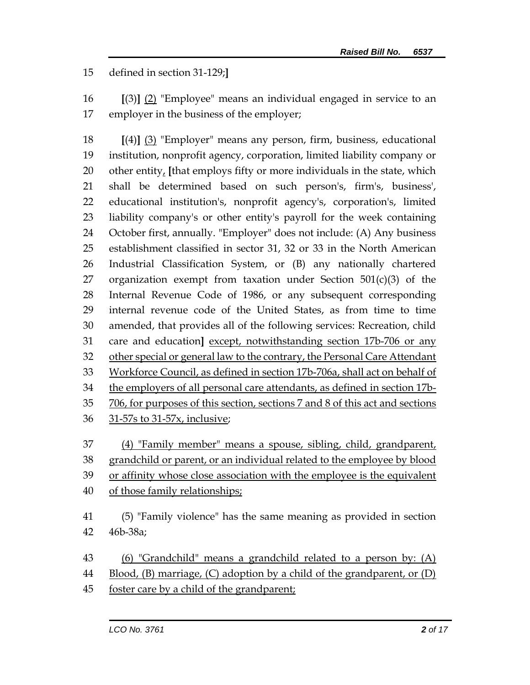defined in section 31-129;**]**

 **[**(3)**]** (2) "Employee" means an individual engaged in service to an employer in the business of the employer;

 **[**(4)**]** (3) "Employer" means any person, firm, business, educational institution, nonprofit agency, corporation, limited liability company or other entity, **[**that employs fifty or more individuals in the state, which shall be determined based on such person's, firm's, business', educational institution's, nonprofit agency's, corporation's, limited liability company's or other entity's payroll for the week containing October first, annually. "Employer" does not include: (A) Any business establishment classified in sector 31, 32 or 33 in the North American Industrial Classification System, or (B) any nationally chartered 27 organization exempt from taxation under Section  $501(c)(3)$  of the Internal Revenue Code of 1986, or any subsequent corresponding internal revenue code of the United States, as from time to time amended, that provides all of the following services: Recreation, child care and education**]** except, notwithstanding section 17b-706 or any other special or general law to the contrary, the Personal Care Attendant Workforce Council, as defined in section 17b-706a, shall act on behalf of the employers of all personal care attendants, as defined in section 17b- 706, for purposes of this section, sections 7 and 8 of this act and sections 31-57s to 31-57x, inclusive; (4) "Family member" means a spouse, sibling, child, grandparent,

grandchild or parent, or an individual related to the employee by blood

or affinity whose close association with the employee is the equivalent

of those family relationships;

 (5) "Family violence" has the same meaning as provided in section 46b-38a;

 (6) "Grandchild" means a grandchild related to a person by: (A) 44 Blood, (B) marriage, (C) adoption by a child of the grandparent, or  $(D)$ 45 foster care by a child of the grandparent;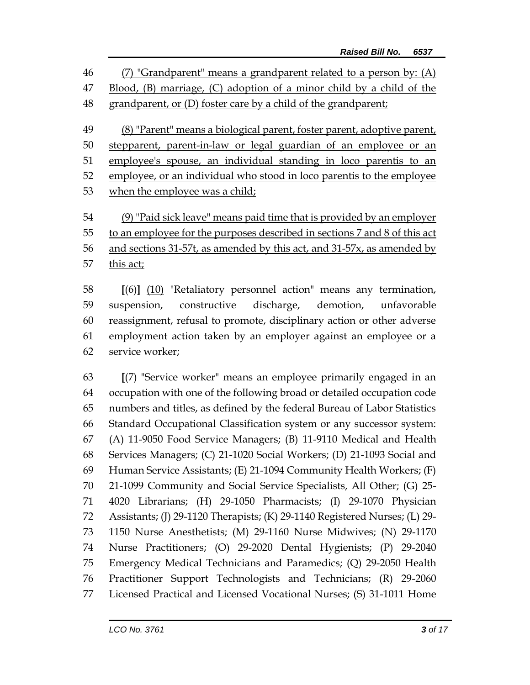(7) "Grandparent" means a grandparent related to a person by: (A) Blood, (B) marriage, (C) adoption of a minor child by a child of the grandparent, or (D) foster care by a child of the grandparent;

 (8) "Parent" means a biological parent, foster parent, adoptive parent, stepparent, parent-in-law or legal guardian of an employee or an employee's spouse, an individual standing in loco parentis to an employee, or an individual who stood in loco parentis to the employee 53 when the employee was a child;

 (9) "Paid sick leave" means paid time that is provided by an employer to an employee for the purposes described in sections 7 and 8 of this act and sections 31-57t, as amended by this act, and 31-57x, as amended by this act;

 **[**(6)**]** (10) "Retaliatory personnel action" means any termination, suspension, constructive discharge, demotion, unfavorable reassignment, refusal to promote, disciplinary action or other adverse employment action taken by an employer against an employee or a service worker;

 **[**(7) "Service worker" means an employee primarily engaged in an occupation with one of the following broad or detailed occupation code numbers and titles, as defined by the federal Bureau of Labor Statistics Standard Occupational Classification system or any successor system: (A) 11-9050 Food Service Managers; (B) 11-9110 Medical and Health Services Managers; (C) 21-1020 Social Workers; (D) 21-1093 Social and Human Service Assistants; (E) 21-1094 Community Health Workers; (F) 21-1099 Community and Social Service Specialists, All Other; (G) 25- 4020 Librarians; (H) 29-1050 Pharmacists; (I) 29-1070 Physician Assistants; (J) 29-1120 Therapists; (K) 29-1140 Registered Nurses; (L) 29- 1150 Nurse Anesthetists; (M) 29-1160 Nurse Midwives; (N) 29-1170 Nurse Practitioners; (O) 29-2020 Dental Hygienists; (P) 29-2040 Emergency Medical Technicians and Paramedics; (Q) 29-2050 Health Practitioner Support Technologists and Technicians; (R) 29-2060 Licensed Practical and Licensed Vocational Nurses; (S) 31-1011 Home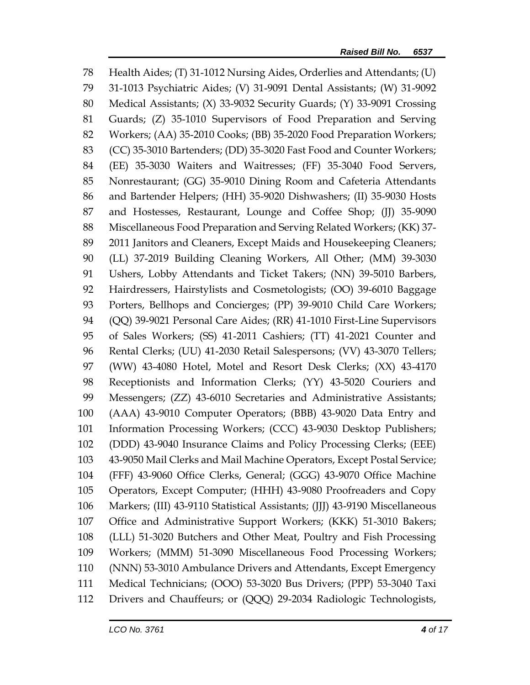Health Aides; (T) 31-1012 Nursing Aides, Orderlies and Attendants; (U) 31-1013 Psychiatric Aides; (V) 31-9091 Dental Assistants; (W) 31-9092 Medical Assistants; (X) 33-9032 Security Guards; (Y) 33-9091 Crossing Guards; (Z) 35-1010 Supervisors of Food Preparation and Serving Workers; (AA) 35-2010 Cooks; (BB) 35-2020 Food Preparation Workers; (CC) 35-3010 Bartenders; (DD) 35-3020 Fast Food and Counter Workers; (EE) 35-3030 Waiters and Waitresses; (FF) 35-3040 Food Servers, Nonrestaurant; (GG) 35-9010 Dining Room and Cafeteria Attendants and Bartender Helpers; (HH) 35-9020 Dishwashers; (II) 35-9030 Hosts and Hostesses, Restaurant, Lounge and Coffee Shop; (JJ) 35-9090 Miscellaneous Food Preparation and Serving Related Workers; (KK) 37- 2011 Janitors and Cleaners, Except Maids and Housekeeping Cleaners; (LL) 37-2019 Building Cleaning Workers, All Other; (MM) 39-3030 Ushers, Lobby Attendants and Ticket Takers; (NN) 39-5010 Barbers, Hairdressers, Hairstylists and Cosmetologists; (OO) 39-6010 Baggage Porters, Bellhops and Concierges; (PP) 39-9010 Child Care Workers; (QQ) 39-9021 Personal Care Aides; (RR) 41-1010 First-Line Supervisors of Sales Workers; (SS) 41-2011 Cashiers; (TT) 41-2021 Counter and Rental Clerks; (UU) 41-2030 Retail Salespersons; (VV) 43-3070 Tellers; (WW) 43-4080 Hotel, Motel and Resort Desk Clerks; (XX) 43-4170 Receptionists and Information Clerks; (YY) 43-5020 Couriers and Messengers; (ZZ) 43-6010 Secretaries and Administrative Assistants; (AAA) 43-9010 Computer Operators; (BBB) 43-9020 Data Entry and Information Processing Workers; (CCC) 43-9030 Desktop Publishers; (DDD) 43-9040 Insurance Claims and Policy Processing Clerks; (EEE) 43-9050 Mail Clerks and Mail Machine Operators, Except Postal Service; (FFF) 43-9060 Office Clerks, General; (GGG) 43-9070 Office Machine Operators, Except Computer; (HHH) 43-9080 Proofreaders and Copy Markers; (III) 43-9110 Statistical Assistants; (JJJ) 43-9190 Miscellaneous Office and Administrative Support Workers; (KKK) 51-3010 Bakers; (LLL) 51-3020 Butchers and Other Meat, Poultry and Fish Processing Workers; (MMM) 51-3090 Miscellaneous Food Processing Workers; (NNN) 53-3010 Ambulance Drivers and Attendants, Except Emergency Medical Technicians; (OOO) 53-3020 Bus Drivers; (PPP) 53-3040 Taxi Drivers and Chauffeurs; or (QQQ) 29-2034 Radiologic Technologists,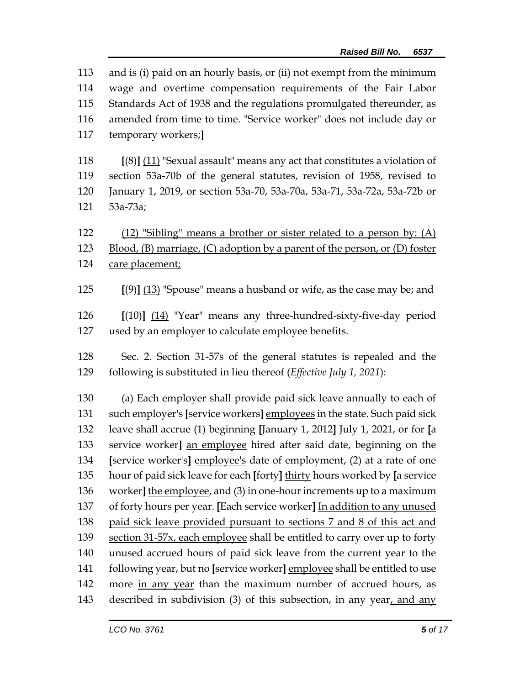and is (i) paid on an hourly basis, or (ii) not exempt from the minimum wage and overtime compensation requirements of the Fair Labor Standards Act of 1938 and the regulations promulgated thereunder, as amended from time to time. "Service worker" does not include day or temporary workers;**] [**(8)**]** (11) "Sexual assault" means any act that constitutes a violation of

 section 53a-70b of the general statutes, revision of 1958, revised to January 1, 2019, or section 53a-70, 53a-70a, 53a-71, 53a-72a, 53a-72b or 53a-73a;

 (12) "Sibling" means a brother or sister related to a person by: (A) Blood, (B) marriage, (C) adoption by a parent of the person, or (D) foster care placement;

**[**(9)**]** (13) "Spouse" means a husband or wife, as the case may be; and

 **[**(10)**]** (14) "Year" means any three-hundred-sixty-five-day period used by an employer to calculate employee benefits.

 Sec. 2. Section 31-57s of the general statutes is repealed and the following is substituted in lieu thereof (*Effective July 1, 2021*):

 (a) Each employer shall provide paid sick leave annually to each of such employer's **[**service workers**]** employees in the state. Such paid sick leave shall accrue (1) beginning **[**January 1, 2012**]** July 1, 2021, or for **[**a service worker**]** an employee hired after said date, beginning on the **[**service worker's**]** employee's date of employment, (2) at a rate of one hour of paid sick leave for each **[**forty**]** thirty hours worked by **[**a service worker**]** the employee, and (3) in one-hour increments up to a maximum of forty hours per year. **[**Each service worker**]** In addition to any unused paid sick leave provided pursuant to sections 7 and 8 of this act and section 31-57x, each employee shall be entitled to carry over up to forty unused accrued hours of paid sick leave from the current year to the following year, but no **[**service worker**]** employee shall be entitled to use 142 more in any year than the maximum number of accrued hours, as described in subdivision (3) of this subsection, in any year, and any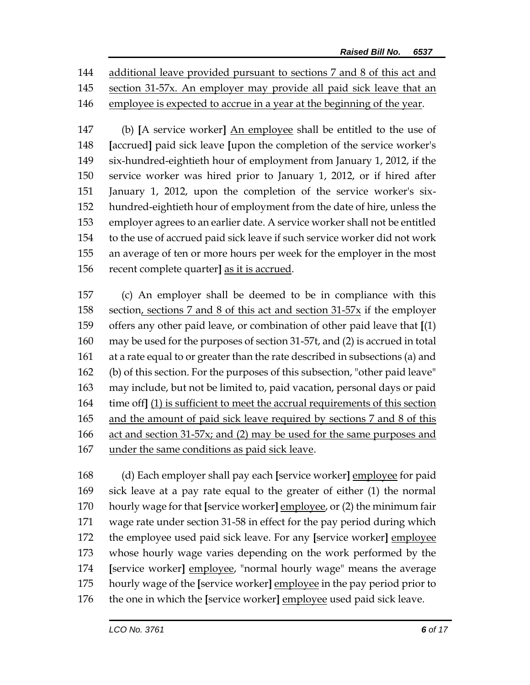additional leave provided pursuant to sections 7 and 8 of this act and section 31-57x. An employer may provide all paid sick leave that an employee is expected to accrue in a year at the beginning of the year.

 (b) **[**A service worker**]** An employee shall be entitled to the use of **[**accrued**]** paid sick leave **[**upon the completion of the service worker's six-hundred-eightieth hour of employment from January 1, 2012, if the service worker was hired prior to January 1, 2012, or if hired after January 1, 2012, upon the completion of the service worker's six- hundred-eightieth hour of employment from the date of hire, unless the employer agrees to an earlier date. A service worker shall not be entitled to the use of accrued paid sick leave if such service worker did not work an average of ten or more hours per week for the employer in the most recent complete quarter**]** as it is accrued.

 (c) An employer shall be deemed to be in compliance with this 158 section, sections 7 and 8 of this act and section  $31-57x$  if the employer offers any other paid leave, or combination of other paid leave that **[**(1) may be used for the purposes of section 31-57t, and (2) is accrued in total at a rate equal to or greater than the rate described in subsections (a) and (b) of this section. For the purposes of this subsection, "other paid leave" may include, but not be limited to, paid vacation, personal days or paid time off**]** (1) is sufficient to meet the accrual requirements of this section and the amount of paid sick leave required by sections 7 and 8 of this act and section 31-57x; and (2) may be used for the same purposes and under the same conditions as paid sick leave.

 (d) Each employer shall pay each **[**service worker**]** employee for paid sick leave at a pay rate equal to the greater of either (1) the normal hourly wage for that **[**service worker**]** employee, or (2) the minimum fair wage rate under section 31-58 in effect for the pay period during which the employee used paid sick leave. For any **[**service worker**]** employee whose hourly wage varies depending on the work performed by the **[**service worker**]** employee, "normal hourly wage" means the average hourly wage of the **[**service worker**]** employee in the pay period prior to the one in which the **[**service worker**]** employee used paid sick leave.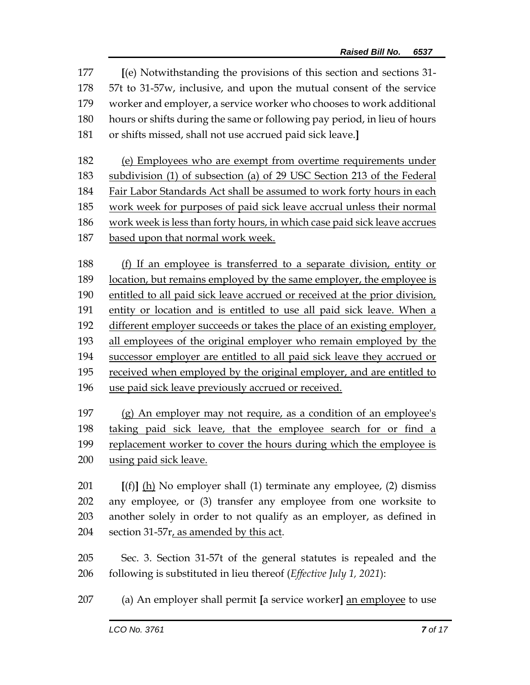**[**(e) Notwithstanding the provisions of this section and sections 31- 57t to 31-57w, inclusive, and upon the mutual consent of the service worker and employer, a service worker who chooses to work additional hours or shifts during the same or following pay period, in lieu of hours or shifts missed, shall not use accrued paid sick leave.**]**

 (e) Employees who are exempt from overtime requirements under subdivision (1) of subsection (a) of 29 USC Section 213 of the Federal Fair Labor Standards Act shall be assumed to work forty hours in each work week for purposes of paid sick leave accrual unless their normal work week is less than forty hours, in which case paid sick leave accrues based upon that normal work week.

 (f) If an employee is transferred to a separate division, entity or location, but remains employed by the same employer, the employee is entitled to all paid sick leave accrued or received at the prior division, entity or location and is entitled to use all paid sick leave. When a different employer succeeds or takes the place of an existing employer, all employees of the original employer who remain employed by the 194 successor employer are entitled to all paid sick leave they accrued or received when employed by the original employer, and are entitled to use paid sick leave previously accrued or received.

 (g) An employer may not require, as a condition of an employee's taking paid sick leave, that the employee search for or find a replacement worker to cover the hours during which the employee is using paid sick leave.

 **[**(f)**]** (h) No employer shall (1) terminate any employee, (2) dismiss any employee, or (3) transfer any employee from one worksite to another solely in order to not qualify as an employer, as defined in section 31-57r, as amended by this act.

 Sec. 3. Section 31-57t of the general statutes is repealed and the following is substituted in lieu thereof (*Effective July 1, 2021*):

(a) An employer shall permit **[**a service worker**]** an employee to use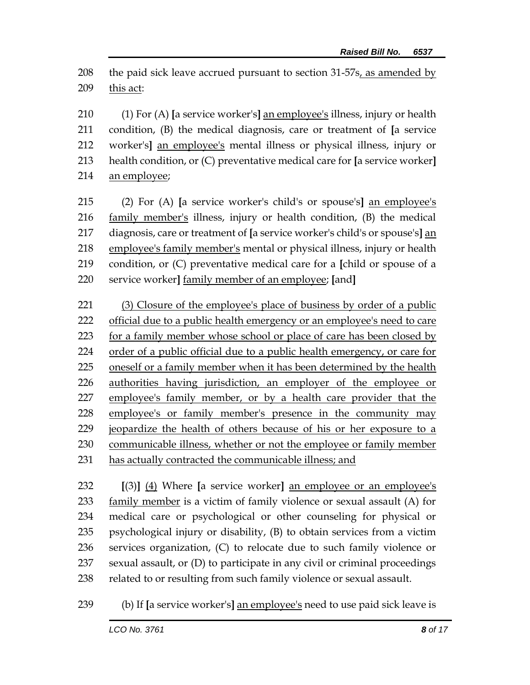208 the paid sick leave accrued pursuant to section 31-57s, as amended by this act:

 (1) For (A) **[**a service worker's**]** an employee's illness, injury or health condition, (B) the medical diagnosis, care or treatment of **[**a service worker's**]** an employee's mental illness or physical illness, injury or health condition, or (C) preventative medical care for **[**a service worker**]** an employee;

 (2) For (A) **[**a service worker's child's or spouse's**]** an employee's family member's illness, injury or health condition, (B) the medical diagnosis, care or treatment of **[**a service worker's child's or spouse's**]** an employee's family member's mental or physical illness, injury or health condition, or (C) preventative medical care for a **[**child or spouse of a service worker**]** family member of an employee; **[**and**]**

 (3) Closure of the employee's place of business by order of a public 222 official due to a public health emergency or an employee's need to care 223 for a family member whose school or place of care has been closed by order of a public official due to a public health emergency, or care for oneself or a family member when it has been determined by the health authorities having jurisdiction, an employer of the employee or employee's family member, or by a health care provider that the employee's or family member's presence in the community may jeopardize the health of others because of his or her exposure to a communicable illness, whether or not the employee or family member has actually contracted the communicable illness; and

 **[**(3)**]** (4) Where **[**a service worker**]** an employee or an employee's family member is a victim of family violence or sexual assault (A) for medical care or psychological or other counseling for physical or psychological injury or disability, (B) to obtain services from a victim services organization, (C) to relocate due to such family violence or sexual assault, or (D) to participate in any civil or criminal proceedings related to or resulting from such family violence or sexual assault.

(b) If **[**a service worker's**]** an employee's need to use paid sick leave is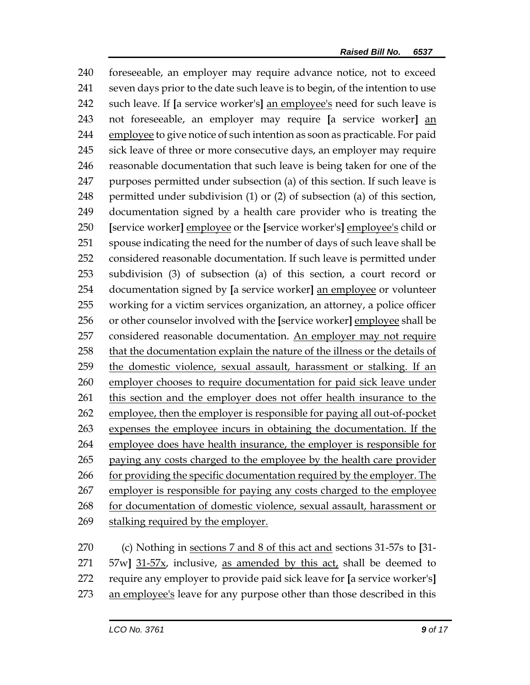foreseeable, an employer may require advance notice, not to exceed seven days prior to the date such leave is to begin, of the intention to use such leave. If **[**a service worker's**]** an employee's need for such leave is not foreseeable, an employer may require **[**a service worker**]** an employee to give notice of such intention as soon as practicable. For paid sick leave of three or more consecutive days, an employer may require reasonable documentation that such leave is being taken for one of the purposes permitted under subsection (a) of this section. If such leave is permitted under subdivision (1) or (2) of subsection (a) of this section, documentation signed by a health care provider who is treating the **[**service worker**]** employee or the **[**service worker's**]** employee's child or spouse indicating the need for the number of days of such leave shall be considered reasonable documentation. If such leave is permitted under subdivision (3) of subsection (a) of this section, a court record or documentation signed by **[**a service worker**]** an employee or volunteer working for a victim services organization, an attorney, a police officer or other counselor involved with the **[**service worker**]** employee shall be considered reasonable documentation. An employer may not require that the documentation explain the nature of the illness or the details of 259 the domestic violence, sexual assault, harassment or stalking. If an employer chooses to require documentation for paid sick leave under this section and the employer does not offer health insurance to the employee, then the employer is responsible for paying all out-of-pocket expenses the employee incurs in obtaining the documentation. If the employee does have health insurance, the employer is responsible for paying any costs charged to the employee by the health care provider 266 for providing the specific documentation required by the employer. The employer is responsible for paying any costs charged to the employee for documentation of domestic violence, sexual assault, harassment or 269 stalking required by the employer.

 (c) Nothing in sections 7 and 8 of this act and sections 31-57s to **[**31- 57w**]** 31-57x, inclusive, as amended by this act, shall be deemed to require any employer to provide paid sick leave for **[**a service worker's**]** an employee's leave for any purpose other than those described in this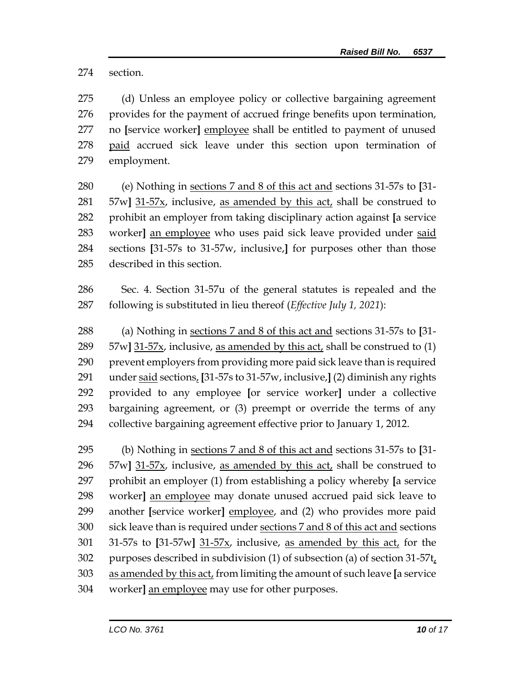section.

 (d) Unless an employee policy or collective bargaining agreement provides for the payment of accrued fringe benefits upon termination, no **[**service worker**]** employee shall be entitled to payment of unused 278 paid accrued sick leave under this section upon termination of employment.

 (e) Nothing in sections 7 and 8 of this act and sections 31-57s to **[**31- 57w**]** 31-57x, inclusive, as amended by this act, shall be construed to prohibit an employer from taking disciplinary action against **[**a service worker**]** an employee who uses paid sick leave provided under said sections **[**31-57s to 31-57w, inclusive,**]** for purposes other than those described in this section.

 Sec. 4. Section 31-57u of the general statutes is repealed and the following is substituted in lieu thereof (*Effective July 1, 2021*):

 (a) Nothing in sections 7 and 8 of this act and sections 31-57s to **[**31- 57w**]** 31-57x, inclusive, as amended by this act, shall be construed to (1) prevent employers from providing more paid sick leave than is required under said sections, **[**31-57s to 31-57w, inclusive,**]** (2) diminish any rights provided to any employee **[**or service worker**]** under a collective bargaining agreement, or (3) preempt or override the terms of any collective bargaining agreement effective prior to January 1, 2012.

 (b) Nothing in sections 7 and 8 of this act and sections 31-57s to **[**31- 296 57w] 31-57x, inclusive, as amended by this act, shall be construed to prohibit an employer (1) from establishing a policy whereby **[**a service worker**]** an employee may donate unused accrued paid sick leave to another **[**service worker**]** employee, and (2) who provides more paid sick leave than is required under sections 7 and 8 of this act and sections 31-57s to **[**31-57w**]** 31-57x, inclusive, as amended by this act, for the purposes described in subdivision (1) of subsection (a) of section 31-57t, as amended by this act, from limiting the amount of such leave **[**a service worker**]** an employee may use for other purposes.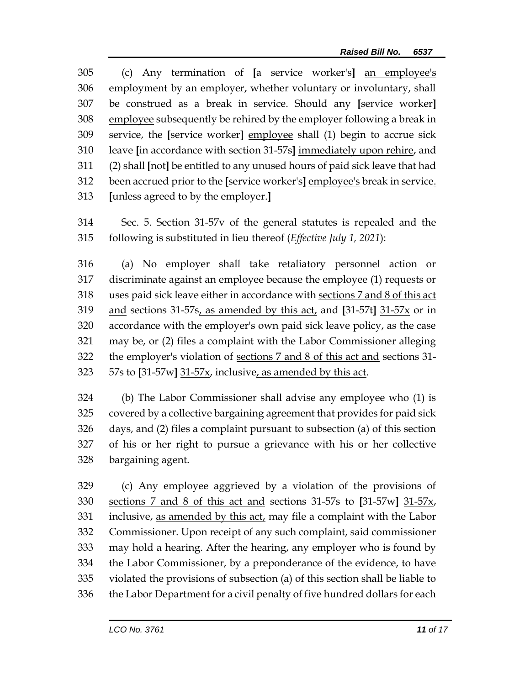(c) Any termination of **[**a service worker's**]** an employee's employment by an employer, whether voluntary or involuntary, shall be construed as a break in service. Should any **[**service worker**]** employee subsequently be rehired by the employer following a break in service, the **[**service worker**]** employee shall (1) begin to accrue sick leave **[**in accordance with section 31-57s**]** immediately upon rehire, and (2) shall **[**not**]** be entitled to any unused hours of paid sick leave that had been accrued prior to the **[**service worker's**]** employee's break in service. **[**unless agreed to by the employer.**]**

 Sec. 5. Section 31-57v of the general statutes is repealed and the following is substituted in lieu thereof (*Effective July 1, 2021*):

 (a) No employer shall take retaliatory personnel action or discriminate against an employee because the employee (1) requests or uses paid sick leave either in accordance with sections 7 and 8 of this act and sections 31-57s, as amended by this act, and **[**31-57t**]** 31-57x or in accordance with the employer's own paid sick leave policy, as the case may be, or (2) files a complaint with the Labor Commissioner alleging the employer's violation of sections 7 and 8 of this act and sections 31- 57s to **[**31-57w**]** 31-57x, inclusive, as amended by this act.

 (b) The Labor Commissioner shall advise any employee who (1) is covered by a collective bargaining agreement that provides for paid sick days, and (2) files a complaint pursuant to subsection (a) of this section of his or her right to pursue a grievance with his or her collective bargaining agent.

 (c) Any employee aggrieved by a violation of the provisions of sections 7 and 8 of this act and sections 31-57s to **[**31-57w**]** 31-57x, inclusive, as amended by this act, may file a complaint with the Labor Commissioner. Upon receipt of any such complaint, said commissioner may hold a hearing. After the hearing, any employer who is found by the Labor Commissioner, by a preponderance of the evidence, to have violated the provisions of subsection (a) of this section shall be liable to the Labor Department for a civil penalty of five hundred dollars for each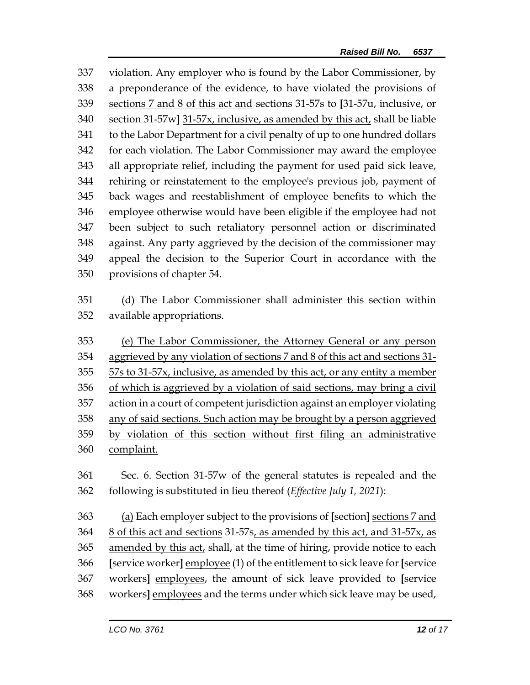violation. Any employer who is found by the Labor Commissioner, by a preponderance of the evidence, to have violated the provisions of sections 7 and 8 of this act and sections 31-57s to **[**31-57u, inclusive, or section 31-57w**]** 31-57x, inclusive, as amended by this act, shall be liable to the Labor Department for a civil penalty of up to one hundred dollars for each violation. The Labor Commissioner may award the employee all appropriate relief, including the payment for used paid sick leave, rehiring or reinstatement to the employee's previous job, payment of back wages and reestablishment of employee benefits to which the employee otherwise would have been eligible if the employee had not been subject to such retaliatory personnel action or discriminated against. Any party aggrieved by the decision of the commissioner may appeal the decision to the Superior Court in accordance with the provisions of chapter 54.

 (d) The Labor Commissioner shall administer this section within available appropriations.

 (e) The Labor Commissioner, the Attorney General or any person aggrieved by any violation of sections 7 and 8 of this act and sections 31- 57s to 31-57x, inclusive, as amended by this act, or any entity a member of which is aggrieved by a violation of said sections, may bring a civil action in a court of competent jurisdiction against an employer violating any of said sections. Such action may be brought by a person aggrieved by violation of this section without first filing an administrative complaint.

 Sec. 6. Section 31-57w of the general statutes is repealed and the following is substituted in lieu thereof (*Effective July 1, 2021*):

 (a) Each employer subject to the provisions of **[**section**]** sections 7 and 8 of this act and sections 31-57s, as amended by this act, and 31-57x, as 365 amended by this act, shall, at the time of hiring, provide notice to each **[**service worker**]** employee (1) of the entitlement to sick leave for **[**service workers**]** employees, the amount of sick leave provided to **[**service workers**]** employees and the terms under which sick leave may be used,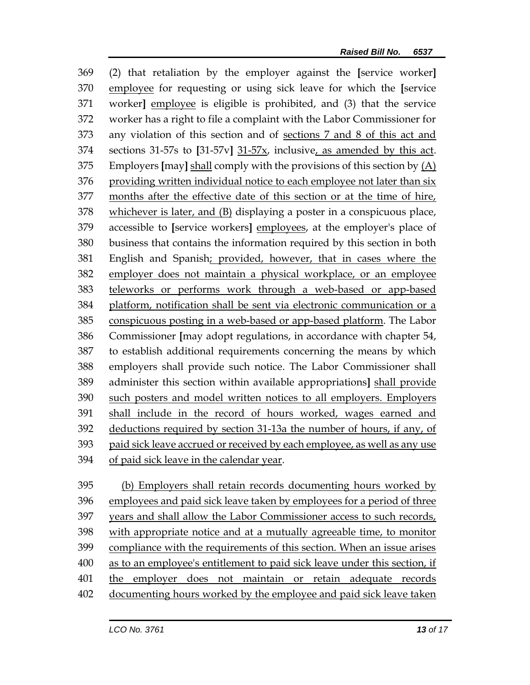(2) that retaliation by the employer against the **[**service worker**]** employee for requesting or using sick leave for which the **[**service worker**]** employee is eligible is prohibited, and (3) that the service worker has a right to file a complaint with the Labor Commissioner for any violation of this section and of sections 7 and 8 of this act and sections 31-57s to **[**31-57v**]** 31-57x, inclusive, as amended by this act. Employers **[**may**]** shall comply with the provisions of this section by (A) providing written individual notice to each employee not later than six months after the effective date of this section or at the time of hire, whichever is later, and (B) displaying a poster in a conspicuous place, accessible to **[**service workers**]** employees, at the employer's place of business that contains the information required by this section in both English and Spanish; provided, however, that in cases where the employer does not maintain a physical workplace, or an employee teleworks or performs work through a web-based or app-based platform, notification shall be sent via electronic communication or a conspicuous posting in a web-based or app-based platform. The Labor Commissioner **[**may adopt regulations, in accordance with chapter 54, to establish additional requirements concerning the means by which employers shall provide such notice. The Labor Commissioner shall administer this section within available appropriations**]** shall provide such posters and model written notices to all employers. Employers shall include in the record of hours worked, wages earned and deductions required by section 31-13a the number of hours, if any, of paid sick leave accrued or received by each employee, as well as any use of paid sick leave in the calendar year.

 (b) Employers shall retain records documenting hours worked by employees and paid sick leave taken by employees for a period of three years and shall allow the Labor Commissioner access to such records, with appropriate notice and at a mutually agreeable time, to monitor compliance with the requirements of this section. When an issue arises as to an employee's entitlement to paid sick leave under this section, if the employer does not maintain or retain adequate records documenting hours worked by the employee and paid sick leave taken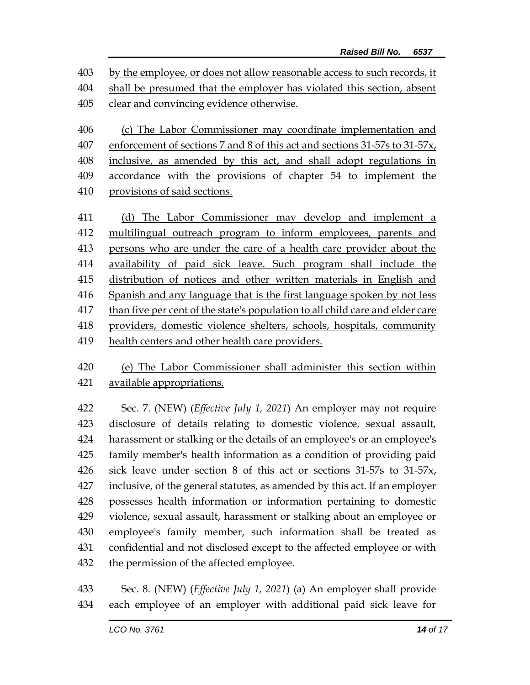by the employee, or does not allow reasonable access to such records, it shall be presumed that the employer has violated this section, absent 405 clear and convincing evidence otherwise.

 (c) The Labor Commissioner may coordinate implementation and enforcement of sections 7 and 8 of this act and sections 31-57s to 31-57x, inclusive, as amended by this act, and shall adopt regulations in accordance with the provisions of chapter 54 to implement the

provisions of said sections.

 (d) The Labor Commissioner may develop and implement a multilingual outreach program to inform employees, parents and persons who are under the care of a health care provider about the availability of paid sick leave. Such program shall include the distribution of notices and other written materials in English and 416 Spanish and any language that is the first language spoken by not less 417 than five per cent of the state's population to all child care and elder care providers, domestic violence shelters, schools, hospitals, community

## health centers and other health care providers.

## (e) The Labor Commissioner shall administer this section within available appropriations.

 Sec. 7. (NEW) (*Effective July 1, 2021*) An employer may not require disclosure of details relating to domestic violence, sexual assault, harassment or stalking or the details of an employee's or an employee's family member's health information as a condition of providing paid sick leave under section 8 of this act or sections 31-57s to 31-57x, inclusive, of the general statutes, as amended by this act. If an employer possesses health information or information pertaining to domestic violence, sexual assault, harassment or stalking about an employee or employee's family member, such information shall be treated as confidential and not disclosed except to the affected employee or with the permission of the affected employee.

 Sec. 8. (NEW) (*Effective July 1, 2021*) (a) An employer shall provide each employee of an employer with additional paid sick leave for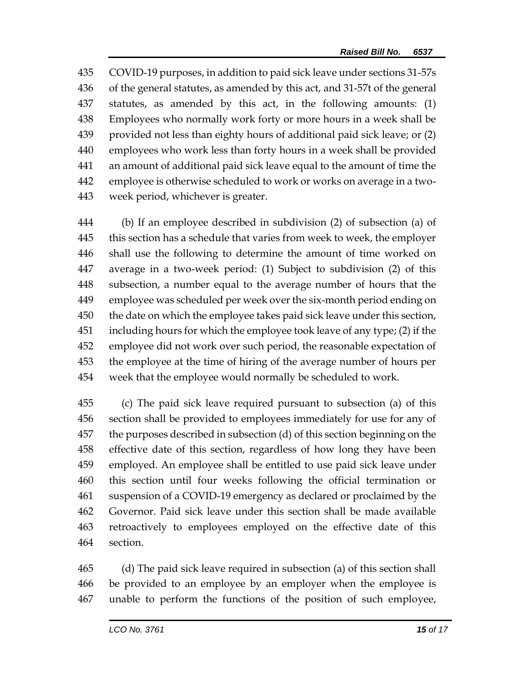COVID-19 purposes, in addition to paid sick leave under sections 31-57s of the general statutes, as amended by this act, and 31-57t of the general statutes, as amended by this act, in the following amounts: (1) Employees who normally work forty or more hours in a week shall be provided not less than eighty hours of additional paid sick leave; or (2) employees who work less than forty hours in a week shall be provided an amount of additional paid sick leave equal to the amount of time the employee is otherwise scheduled to work or works on average in a two-week period, whichever is greater.

 (b) If an employee described in subdivision (2) of subsection (a) of this section has a schedule that varies from week to week, the employer shall use the following to determine the amount of time worked on average in a two-week period: (1) Subject to subdivision (2) of this subsection, a number equal to the average number of hours that the employee was scheduled per week over the six-month period ending on the date on which the employee takes paid sick leave under this section, including hours for which the employee took leave of any type; (2) if the employee did not work over such period, the reasonable expectation of the employee at the time of hiring of the average number of hours per week that the employee would normally be scheduled to work.

 (c) The paid sick leave required pursuant to subsection (a) of this section shall be provided to employees immediately for use for any of the purposes described in subsection (d) of this section beginning on the effective date of this section, regardless of how long they have been employed. An employee shall be entitled to use paid sick leave under this section until four weeks following the official termination or suspension of a COVID-19 emergency as declared or proclaimed by the Governor. Paid sick leave under this section shall be made available retroactively to employees employed on the effective date of this section.

 (d) The paid sick leave required in subsection (a) of this section shall be provided to an employee by an employer when the employee is unable to perform the functions of the position of such employee,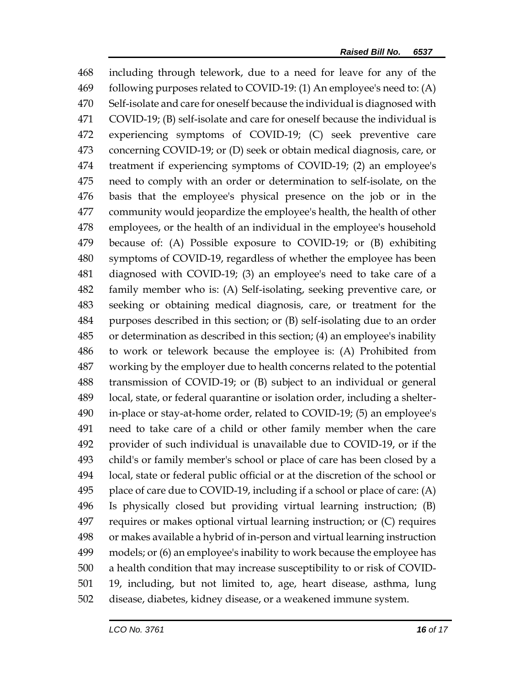including through telework, due to a need for leave for any of the following purposes related to COVID-19: (1) An employee's need to: (A) Self-isolate and care for oneself because the individual is diagnosed with COVID-19; (B) self-isolate and care for oneself because the individual is experiencing symptoms of COVID-19; (C) seek preventive care concerning COVID-19; or (D) seek or obtain medical diagnosis, care, or treatment if experiencing symptoms of COVID-19; (2) an employee's need to comply with an order or determination to self-isolate, on the basis that the employee's physical presence on the job or in the community would jeopardize the employee's health, the health of other employees, or the health of an individual in the employee's household because of: (A) Possible exposure to COVID-19; or (B) exhibiting symptoms of COVID-19, regardless of whether the employee has been diagnosed with COVID-19; (3) an employee's need to take care of a family member who is: (A) Self-isolating, seeking preventive care, or seeking or obtaining medical diagnosis, care, or treatment for the purposes described in this section; or (B) self-isolating due to an order or determination as described in this section; (4) an employee's inability to work or telework because the employee is: (A) Prohibited from working by the employer due to health concerns related to the potential transmission of COVID-19; or (B) subject to an individual or general local, state, or federal quarantine or isolation order, including a shelter- in-place or stay-at-home order, related to COVID-19; (5) an employee's need to take care of a child or other family member when the care provider of such individual is unavailable due to COVID-19, or if the child's or family member's school or place of care has been closed by a local, state or federal public official or at the discretion of the school or place of care due to COVID-19, including if a school or place of care: (A) Is physically closed but providing virtual learning instruction; (B) requires or makes optional virtual learning instruction; or (C) requires or makes available a hybrid of in-person and virtual learning instruction models; or (6) an employee's inability to work because the employee has a health condition that may increase susceptibility to or risk of COVID- 19, including, but not limited to, age, heart disease, asthma, lung disease, diabetes, kidney disease, or a weakened immune system.